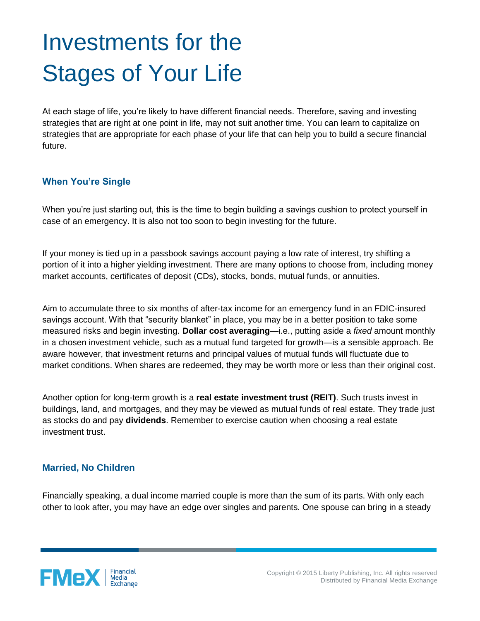# Investments for the Stages of Your Life

At each stage of life, you're likely to have different financial needs. Therefore, saving and investing strategies that are right at one point in life, may not suit another time. You can learn to capitalize on strategies that are appropriate for each phase of your life that can help you to build a secure financial future.

## **When You're Single**

When you're just starting out, this is the time to begin building a savings cushion to protect yourself in case of an emergency. It is also not too soon to begin investing for the future.

If your money is tied up in a passbook savings account paying a low rate of interest, try shifting a portion of it into a higher yielding investment. There are many options to choose from, including money market accounts, certificates of deposit (CDs), stocks, bonds, mutual funds, or annuities.

Aim to accumulate three to six months of after-tax income for an emergency fund in an FDIC-insured savings account. With that "security blanket" in place, you may be in a better position to take some measured risks and begin investing. **Dollar cost averaging—**i.e., putting aside a *fixed* amount monthly in a chosen investment vehicle, such as a mutual fund targeted for growth—is a sensible approach. Be aware however, that investment returns and principal values of mutual funds will fluctuate due to market conditions. When shares are redeemed, they may be worth more or less than their original cost.

Another option for long-term growth is a **real estate investment trust (REIT)**. Such trusts invest in buildings, land, and mortgages, and they may be viewed as mutual funds of real estate. They trade just as stocks do and pay **dividends**. Remember to exercise caution when choosing a real estate investment trust.

## **Married, No Children**

Financially speaking, a dual income married couple is more than the sum of its parts. With only each other to look after, you may have an edge over singles and parents. One spouse can bring in a steady

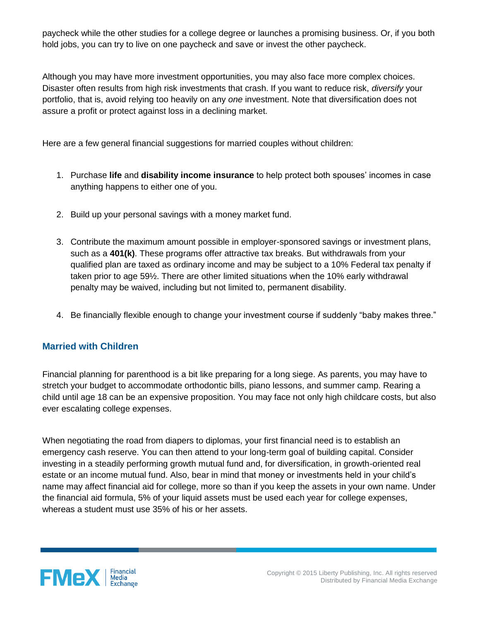paycheck while the other studies for a college degree or launches a promising business. Or, if you both hold jobs, you can try to live on one paycheck and save or invest the other paycheck.

Although you may have more investment opportunities, you may also face more complex choices. Disaster often results from high risk investments that crash. If you want to reduce risk, *diversify* your portfolio, that is, avoid relying too heavily on any *one* investment. Note that diversification does not assure a profit or protect against loss in a declining market.

Here are a few general financial suggestions for married couples without children:

- 1. Purchase **life** and **disability income insurance** to help protect both spouses' incomes in case anything happens to either one of you.
- 2. Build up your personal savings with a money market fund.
- 3. Contribute the maximum amount possible in employer-sponsored savings or investment plans, such as a **401(k)**. These programs offer attractive tax breaks. But withdrawals from your qualified plan are taxed as ordinary income and may be subject to a 10% Federal tax penalty if taken prior to age 59½. There are other limited situations when the 10% early withdrawal penalty may be waived, including but not limited to, permanent disability.
- 4. Be financially flexible enough to change your investment course if suddenly "baby makes three."

## **Married with Children**

Financial planning for parenthood is a bit like preparing for a long siege. As parents, you may have to stretch your budget to accommodate orthodontic bills, piano lessons, and summer camp. Rearing a child until age 18 can be an expensive proposition. You may face not only high childcare costs, but also ever escalating college expenses.

When negotiating the road from diapers to diplomas, your first financial need is to establish an emergency cash reserve. You can then attend to your long-term goal of building capital. Consider investing in a steadily performing growth mutual fund and, for diversification, in growth-oriented real estate or an income mutual fund. Also, bear in mind that money or investments held in your child's name may affect financial aid for college, more so than if you keep the assets in your own name. Under the financial aid formula, 5% of your liquid assets must be used each year for college expenses, whereas a student must use 35% of his or her assets.